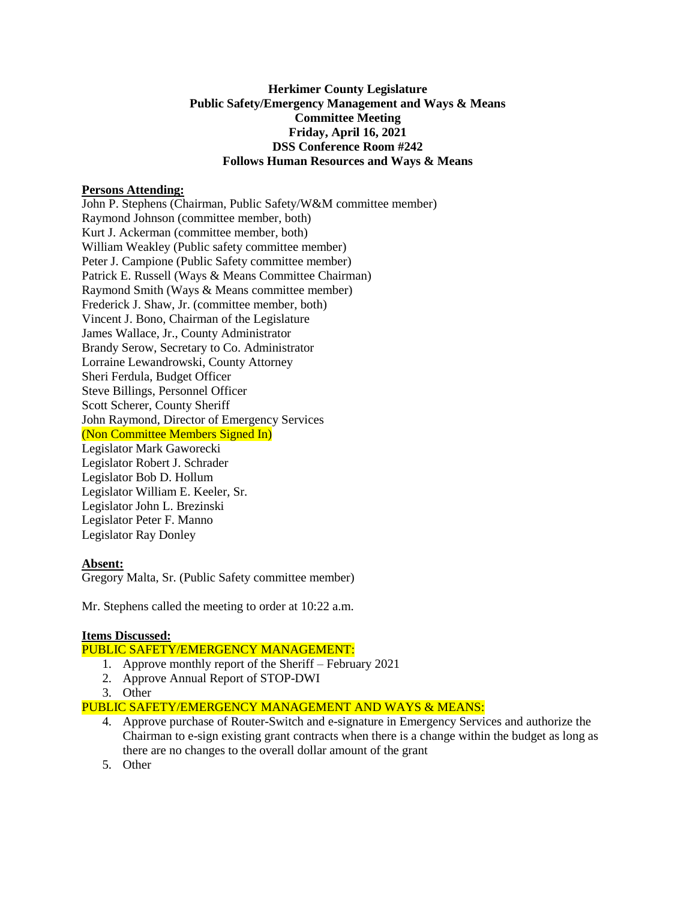## **Herkimer County Legislature Public Safety/Emergency Management and Ways & Means Committee Meeting Friday, April 16, 2021 DSS Conference Room #242 Follows Human Resources and Ways & Means**

### **Persons Attending:**

John P. Stephens (Chairman, Public Safety/W&M committee member) Raymond Johnson (committee member, both) Kurt J. Ackerman (committee member, both) William Weakley (Public safety committee member) Peter J. Campione (Public Safety committee member) Patrick E. Russell (Ways & Means Committee Chairman) Raymond Smith (Ways & Means committee member) Frederick J. Shaw, Jr. (committee member, both) Vincent J. Bono, Chairman of the Legislature James Wallace, Jr., County Administrator Brandy Serow, Secretary to Co. Administrator Lorraine Lewandrowski, County Attorney Sheri Ferdula, Budget Officer Steve Billings, Personnel Officer Scott Scherer, County Sheriff John Raymond, Director of Emergency Services (Non Committee Members Signed In) Legislator Mark Gaworecki Legislator Robert J. Schrader Legislator Bob D. Hollum Legislator William E. Keeler, Sr. Legislator John L. Brezinski Legislator Peter F. Manno Legislator Ray Donley

## **Absent:**

Gregory Malta, Sr. (Public Safety committee member)

Mr. Stephens called the meeting to order at 10:22 a.m.

### **Items Discussed:**

## PUBLIC SAFETY/EMERGENCY MANAGEMENT:

- 1. Approve monthly report of the Sheriff February 2021
- 2. Approve Annual Report of STOP-DWI
- 3. Other

PUBLIC SAFETY/EMERGENCY MANAGEMENT AND WAYS & MEANS:

- 4. Approve purchase of Router-Switch and e-signature in Emergency Services and authorize the Chairman to e-sign existing grant contracts when there is a change within the budget as long as there are no changes to the overall dollar amount of the grant
- 5. Other